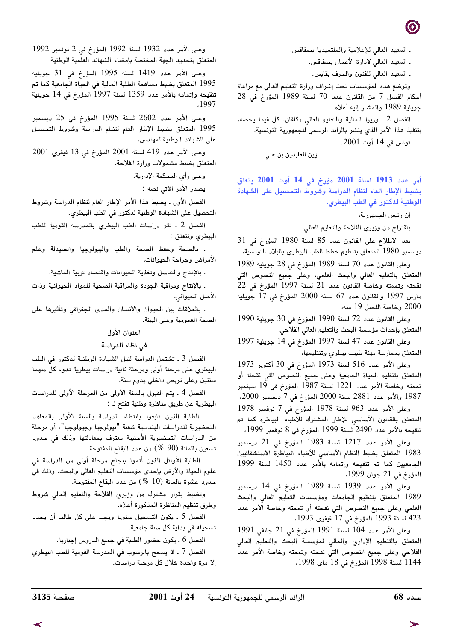. المعهد العالي للإعلامية والملتميديا بصفاقس.

ـ المعهد العالي لإدارة الأعمال بصفاقس.

ـ المعهد العالى للفنون والحرف بقابس.

وتوضع هذه المؤسسات تحت إشراف وزارة التعليم العالى مع مراعاة أحكام الفصل 7 من القانون عدد 70 لسنة 1989 المؤرخ في 28 جويلية 1989 والمشار إليه أعلاه.

الفصل 2 . وزيرا المالية والتعليم العالى مكلفان، كل فيما يخصه، بتنفيذ هذا الأمر الذي ينشر بالرائد الرسمي للجمهورية التونسية. تونس في 14 أوت 2001.

زين العابدين بن على

أمر عدد 1913 لسنة 2001 مؤرخ في 14 أوت 2001 يتعلق بضبط الإطار العام لنظام الدراسة وشروط التحصيل على الشهادة الوطنية لدكتور في الطب البيطري.

إن رئيس الجمهورية،

باقتراح من وزيري الفلاحة والتعليم العالي،

بعد الاطلاع على القانون عدد 85 لسنة 1980 المؤرخ في 31 ديسمبر 1980 المتعلق بتنظيم خطط الطب البيطري بالبلاد التونسية،

وعلى القانون عدد 70 لسنة 1989 المؤرخ في 28 جويلية 1989 المتعلق بالتعليم العالى والبحث العلمى، وعلى جميع النصوص التى نقحته وتممته وخاصة القانون عدد 21 لسنة 1997 المؤرخ في 22 مارس 1997 والقانون عدد 67 لسنة 2000 المؤرخ في 17 جويلية 2000 وخاصة الفصل 19 منه،

وعلى القانون عدد 72 لسنة 1990 المؤرخ في 30 جويلية 1990 المتعلق بإحداث مؤسسة البحث والتعليم العالى الفلاحي،

وعلى القانون عدد 47 لسنة 1997 المؤرخ في 14 جويلية 1997 المتعلق بممارسة مهنة طبيب بيطري وتنظيمها،

وعلى الأمر عدد 516 لسنة 1973 المؤرخ في 30 أكتوبر 1973 المتعلق بتنظيم الحياة الجامعية وعلى جميع النصوص التى نقحته أو تممته وخاصة الأمر عدد 1221 لسنة 1987 المؤرخ في 19 سبتمبر 1987 والأمر عدد 2881 لسنة 2000 المؤرخ في 7 ديسمبر 2000،

وعلى الأمر عدد 963 لسنة 1978 المؤرخ في 7 نوفمبر 1978 المتعلق بالقانون الأساسى للإطار المشترك للأطباء البياطرة كما تم تنقيحه بالأمر عدد 2490 لسنة 1999 المؤرخ في 8 نوفمبر 1999،

وعلى الأمر عدد 1217 لسنة 1983 المؤرخ في 21 ديسمبر 1983 المتعلق بضبط النظام الأساسى للأطباء البياطرة الاستشفائيين الجامعيين كما تم تنقيحه وإتمامه بالأمر عدد 1450 لسنة 1999 المؤرخ في 21 جوان 1999،

وعلى الأمر عدد 1939 لسنة 1989 المؤرخ في 14 ديسمبر 1989 المتعلق بتنظيم الجامعات ومؤسسات التعليم العالى والبحث العلمي وعلى جميع النصوص التي نقحته أو تممته وخاصة الأمر عدد 423 لسنة 1993 المؤرخ في 17 فيفري 1993،

وعلى الأمر عدد 104 لسنة 1991 المؤرخ في 21 جانفي 1991 المتعلق بالتنظيم الإداري والمالي لمؤسسة البحث والتعليم العالي الفلاحي وعلى جميع النصوص التي نقحته وتممته وخاصة الأمر عدد 1144 لسنة 1998 المؤرخ في 18 ماي 1998،

وعلى الأمر عدد 1932 لسنة 1992 المؤرخ في 2 نوفمبر 1992 المتعلق بتحديد الجهة المختصة بإمضاء الشهائد العلمية الوطنية،

وعلى الأمر عدد 1419 لسنة 1995 المؤرخ فى 31 جويلية 1995 المتعلق بضبط مساهمة الطلبة المالية في الحياة الجامعية كما تم تنقيحه وإتمامه بالأمر عدد 1359 لسنة 1997 المؤرخ في 14 جويلية .1997

وعلى الأمر عدد 2602 لسنة 1995 المؤرخ في 25 ديسمبر 1995 المتعلق بضبط الإطار العام لنظام الدراسة وشروط التحصيل على الشهائد الوطنية لمهندس،

وعلى الأمر عدد 419 لسنة 2001 المؤرخ في 13 فيفري 2001 المتعلق بضبط مشمولات وزارة الفلاحة،

وعلى رأى المحكمة الإدارية.

يصدر الأمر الآتي نصه :

الفصل الأول ـ يضبط هذا الأمر الإطار العام لنظام الدراسة وشروط التحصيل على الشهادة الوطنية لدكتور في الطب البيطري.

الفصل 2 ـ تتم دراسات الطب البيطري بالمدرسة القومية للطب البيطري وتتعلق :

. بالصحة وحفظ الصحة والطب والبيولوجيا والصيدلة وعلم الأمراض وجراحة الحيوانات،

. بالإنتاج والتناسل وتغذية الحيوانات واقتصاد تربية الماشية،

. بالإنتاج ومراقبة الجودة والمراقبة الصحية للمواد الحيوانية وذات الأصل الحيواني،

. بالعلاقات بين الحيوان والإنسان والمدى الجغرافي وتأثيرها على الصحة العمومية وعلى البيئة.

العنوان الأول

في نظام الدراسة

الفصل 3 ـ تشتمل الدراسة لنيل الشهادة الوطنية لدكتور في الطب البيطري على مرحلة أولى ومرحلة ثانية دراسات بيطرية تدوم كل منهما سنتين وعلى تربص داخلي يدوم سنة.

الفصل 4 ـ يتم القبول بالسنة الأولى من المرحلة الأولى للدراسات البيطرية عن طريق مناظرة وطنية تفتح له :

. الطلبة الذين تابعوا بانتظام الدراسة بالسنة الأولى بالمعاهد التحضيرية للدراسات الهندسية شعبة "بيولوجيا وجيولوجيا"، أو مرحلة من الدراسات التحضيرية الأجنبية معترف بمعادلتها وذلك فى حدود تسعين بالمائة (90 %) من عدد البقاع المفتوحة.

. الطلبة الأوائل الذين أتموا بنجاح مرحلة أولى من الدراسة في علوم الحياة والأرض بإحدى مؤسسات التعليم العالي والبحث، وذلك في حدود عشرة بالمائة (10 %) من عدد البقاع المفتوحة.

وتضبط بقرار مشترك من وزيري الفلاحة والتعليم العالى شروط وطرق تنظيم المناظرة المذكورة أعلاه.

الفصل 5 ـ يكون التسجيل سنويا ويجب على كل طالب أن يجدد تسجيله في بداية كل سنة جامعية.

الفصل 6 ـ يكون حضور الطلبة في جميع الدروس إجباريا.

الفصل 7 . لا يسمح بالرسوب في المدرسة القومية للطب البيطري إلا مرة واحدة خلال كل مرحلة دراسات.